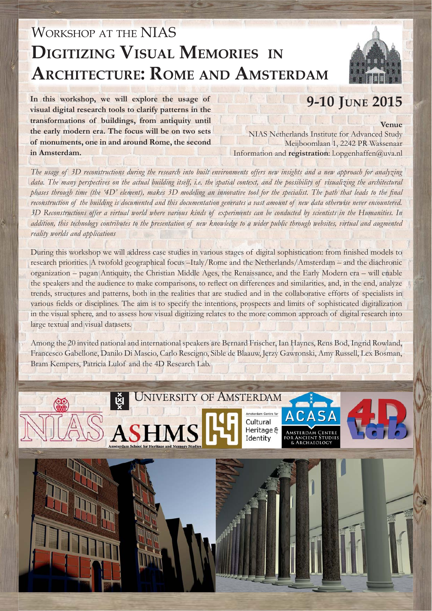## WORKSHOP AT THE NIAS **DIGITIZING VISUAL MEMORIES IN ARCHITECTURE: ROME AND AMSTERDAM**



**Venue**

**In this workshop, we will explore the usage of visual digital research tools to clarify patterns in the transformations of buildings, from antiquity until the early modern era. The focus will be on two sets of monuments, one in and around Rome, the second in Amsterdam.**

**9-10 JUNE 2015**

NIAS Netherlands Institute for Advanced Study Meijboomlaan 1, 2242 PR Wassenaar Information and **registration**: l.opgenhaffen@uva.nl

*The usage of 3D reconstructions during the research into built environments offers new insights and a new approach for analyzing*  data. The many perspectives on the actual building itself, i.e. the spatial context, and the possibility of visualizing the architectural phases through time (the '4D' element), makes 3D modeling an innovative tool for the specialist. The path that leads to the final *reconstruction of the building is documented and this documentation generates a vast amount of new data otherwise never encountered. 3D Reconstructions offer a virtual world where various kinds of experiments can be conducted by scientists in the Humanities. In addition, this technology contributes to the presentation of new knowledge to a wider public through websites, virtual and augmented reality worlds and applications*

During this workshop we will address case studies in various stages of digital sophistication: from finished models to research priorities. A twofold geographical focus –Italy/Rome and the Netherlands/Amsterdam – and the diachronic organization – pagan Antiquity, the Christian Middle Ages, the Renaissance, and the Early Modern era – will enable the speakers and the audience to make comparisons, to reflect on differences and similarities, and, in the end, analyze trends, structures and patterns, both in the realities that are studied and in the collaborative efforts of specialists in various fields or disciplines. The aim is to specify the intentions, prospects and limits of sophisticated digitalization in the visual sphere, and to assess how visual digitizing relates to the more common approach of digital research into large textual and visual datasets.

Among the 20 invited national and international speakers are Bernard Frischer, Ian Haynes, Rens Bod, Ingrid Rowland, Francesco Gabellone, Danilo Di Mascio, Carlo Rescigno, Sible de Blaauw, Jerzy Gawronski, Amy Russell, Lex Bosman, Bram Kempers, Patricia Lulof and the 4D Research Lab.